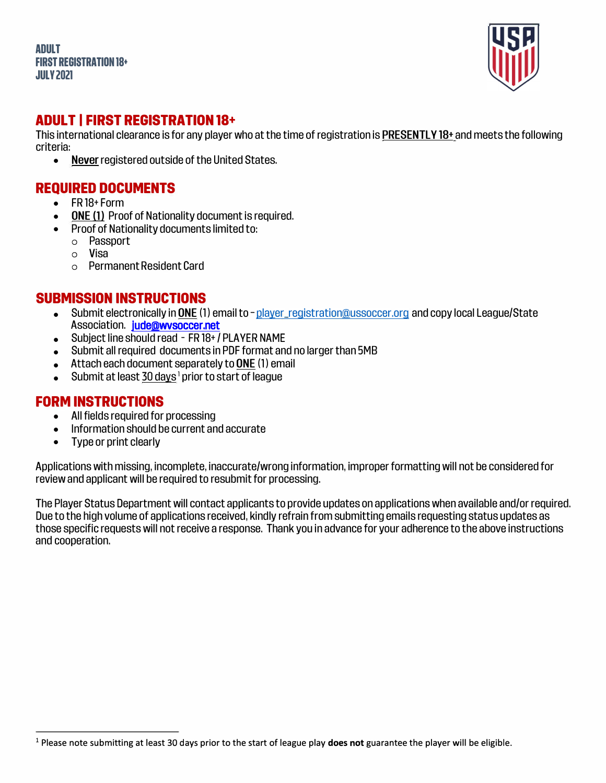**ADULT FIRST REGISTRATION 18+ JULY2021** 



#### **ADULT I FIRST REGISTRATION 18+**

This international clearance is for any player who at the time of registration is PRESENTLY 18+ and meets the following criteria:

• Never registered outside of the United States.

### **REQUIRED DOCUMENTS**

- FR 18+ Form
- **ONE (1) Proof of Nationality document is required.**
- Proof of Nationality documents limited to:
	- o Passport
	- o **Visa**<br>o Pern
	- Permanent Resident Card

### **SUBMISSION INSTRUCTIONS**

- Submit electronically in ONE (1) email to -player\_registration@ussoccer.org and copy local League/State Association. jude@wvsoccer.net
- Subject line should read FR 18+ / PLAVER NAME
- Submit allrequired documents in PDF format and no larger than 5MB
- Attach each document separately to ONE (1) email
- $\bullet$  Submit at least 30 days <sup>1</sup> prior to start of league

#### **FORM INSTRUCTIONS**

- All fields required for processing
- Information should be current and accurate
- Type or print clearly

Applications with missing, incomplete, inaccurate/wrong information, improper formatting will not be considered for review and applicant will be required to resubmit for processing.

The Player Status Department will contact applicants to provide updates on applications when available and/or required. Due to the high volume of applications received, kindly refrain from submitting emails requesting status updates as those specific requests will not receive a response. Thank you in advance for your adherence to the above instructions and cooperation.

<sup>1</sup> Please note submitting at least 30 days prior to the start of league play **does not** guarantee the player will be eligible.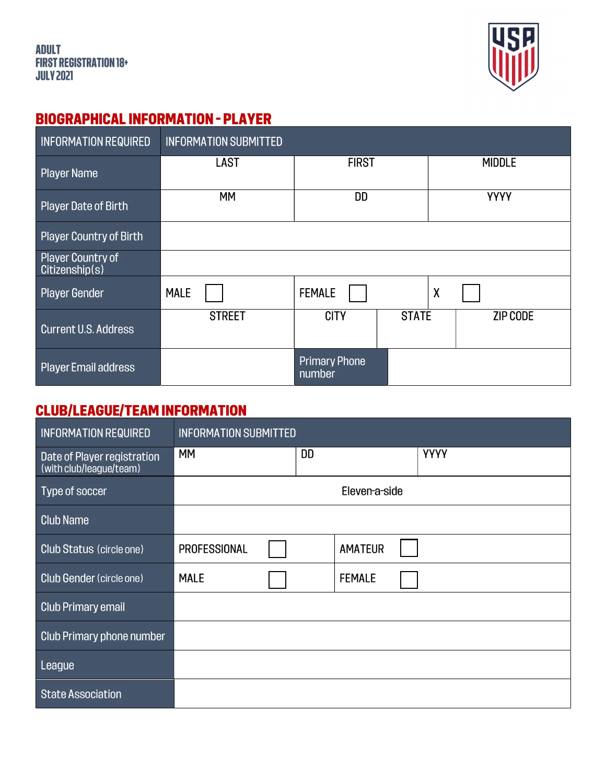

## **BIOGRAPHICAL INFORMATION - PLAYER**

| <b>INFORMATION REQUIRED</b>         | <b>INFORMATION SUBMITTED</b> |                                |              |                           |          |  |
|-------------------------------------|------------------------------|--------------------------------|--------------|---------------------------|----------|--|
| Player Name                         | <b>LAST</b>                  | <b>FIRST</b>                   |              | <b>MIDDLE</b>             |          |  |
| Player Date of Birth                | <b>MM</b>                    | DD                             |              | <b>YYYY</b>               |          |  |
| Player Country of Birth             |                              |                                |              |                           |          |  |
| Player Country of<br>Citizenship(s) |                              |                                |              |                           |          |  |
| <b>Player Gender</b>                | <b>MALE</b>                  | <b>FEMALE</b>                  |              | $\boldsymbol{\mathsf{X}}$ |          |  |
| <b>Current U.S. Address</b>         | <b>STREET</b>                | <b>CITY</b>                    | <b>STATE</b> |                           | ZIP CODE |  |
| Player Email address                |                              | <b>Primary Phone</b><br>number |              |                           |          |  |

# **CLUB/LEAGUE/TEAM INFORMATION**

| <b>INFORMATION REQUIRED</b>                            | <b>INFORMATION SUBMITTED</b> |           |                |             |  |
|--------------------------------------------------------|------------------------------|-----------|----------------|-------------|--|
| Date of Player registration<br>(with club/league/team) | MМ                           | <b>DD</b> |                | <b>YYYY</b> |  |
| Type of soccer                                         |                              |           | Eleven-a-side  |             |  |
| <b>Club Name</b>                                       |                              |           |                |             |  |
| <b>Club Status (circle one)</b>                        | <b>PROFESSIONAL</b>          |           | <b>AMATEUR</b> |             |  |
| Club Gender (circle one)                               | <b>MALE</b>                  |           | <b>FEMALE</b>  |             |  |
| <b>Club Primary email</b>                              |                              |           |                |             |  |
| Club Primary phone number                              |                              |           |                |             |  |
| League                                                 |                              |           |                |             |  |
| <b>State Association</b>                               |                              |           |                |             |  |